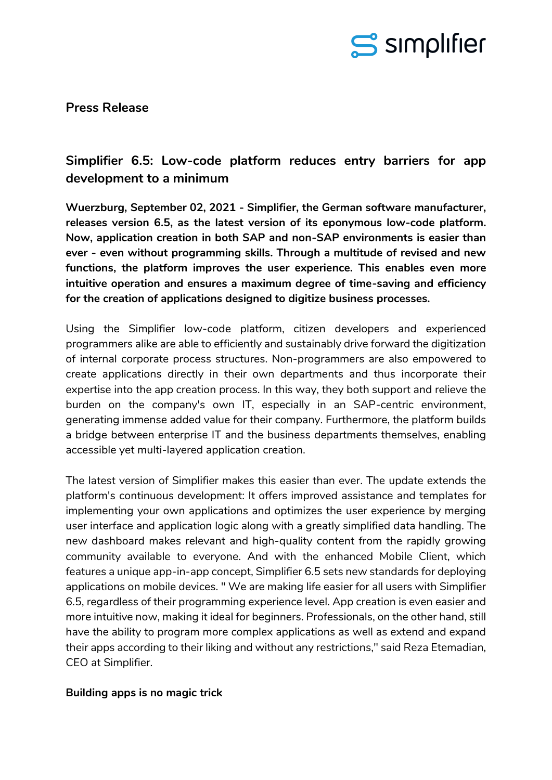

**Press Release**

# **Simplifier 6.5: Low-code platform reduces entry barriers for app development to a minimum**

**Wuerzburg, September 02, 2021 - Simplifier, the German software manufacturer, releases version 6.5, as the latest version of its eponymous low-code platform. Now, application creation in both SAP and non-SAP environments is easier than ever - even without programming skills. Through a multitude of revised and new functions, the platform improves the user experience. This enables even more intuitive operation and ensures a maximum degree of time-saving and efficiency for the creation of applications designed to digitize business processes.**

Using the Simplifier low-code platform, citizen developers and experienced programmers alike are able to efficiently and sustainably drive forward the digitization of internal corporate process structures. Non-programmers are also empowered to create applications directly in their own departments and thus incorporate their expertise into the app creation process. In this way, they both support and relieve the burden on the company's own IT, especially in an SAP-centric environment, generating immense added value for their company. Furthermore, the platform builds a bridge between enterprise IT and the business departments themselves, enabling accessible yet multi-layered application creation.

The latest version of Simplifier makes this easier than ever. The update extends the platform's continuous development: It offers improved assistance and templates for implementing your own applications and optimizes the user experience by merging user interface and application logic along with a greatly simplified data handling. The new dashboard makes relevant and high-quality content from the rapidly growing community available to everyone. And with the enhanced Mobile Client, which features a unique app-in-app concept, Simplifier 6.5 sets new standards for deploying applications on mobile devices. " We are making life easier for all users with Simplifier 6.5, regardless of their programming experience level. App creation is even easier and more intuitive now, making it ideal for beginners. Professionals, on the other hand, still have the ability to program more complex applications as well as extend and expand their apps according to their liking and without any restrictions," said Reza Etemadian, CEO at Simplifier.

# **Building apps is no magic trick**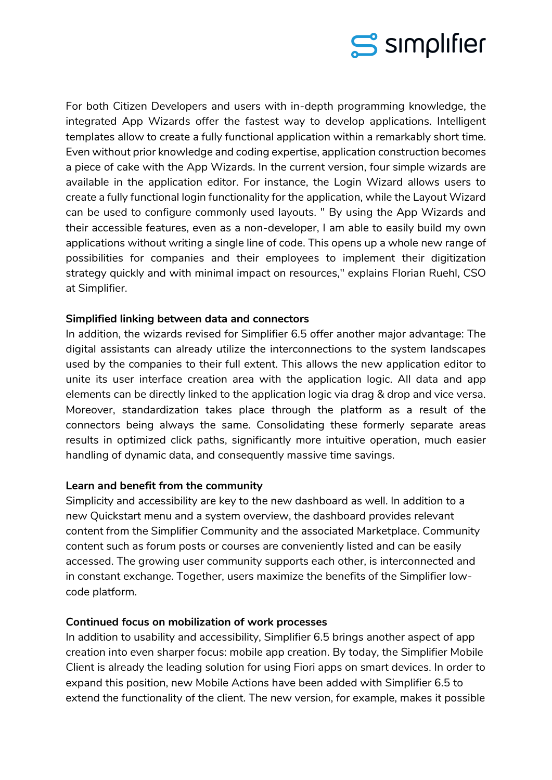

For both Citizen Developers and users with in-depth programming knowledge, the integrated App Wizards offer the fastest way to develop applications. Intelligent templates allow to create a fully functional application within a remarkably short time. Even without prior knowledge and coding expertise, application construction becomes a piece of cake with the App Wizards. In the current version, four simple wizards are available in the application editor. For instance, the Login Wizard allows users to create a fully functional login functionality for the application, while the Layout Wizard can be used to configure commonly used layouts. " By using the App Wizards and their accessible features, even as a non-developer, I am able to easily build my own applications without writing a single line of code. This opens up a whole new range of possibilities for companies and their employees to implement their digitization strategy quickly and with minimal impact on resources," explains Florian Ruehl, CSO at Simplifier.

## **Simplified linking between data and connectors**

In addition, the wizards revised for Simplifier 6.5 offer another major advantage: The digital assistants can already utilize the interconnections to the system landscapes used by the companies to their full extent. This allows the new application editor to unite its user interface creation area with the application logic. All data and app elements can be directly linked to the application logic via drag & drop and vice versa. Moreover, standardization takes place through the platform as a result of the connectors being always the same. Consolidating these formerly separate areas results in optimized click paths, significantly more intuitive operation, much easier handling of dynamic data, and consequently massive time savings.

#### **Learn and benefit from the community**

Simplicity and accessibility are key to the new dashboard as well. In addition to a new Quickstart menu and a system overview, the dashboard provides relevant content from the Simplifier Community and the associated Marketplace. Community content such as forum posts or courses are conveniently listed and can be easily accessed. The growing user community supports each other, is interconnected and in constant exchange. Together, users maximize the benefits of the Simplifier lowcode platform.

#### **Continued focus on mobilization of work processes**

In addition to usability and accessibility, Simplifier 6.5 brings another aspect of app creation into even sharper focus: mobile app creation. By today, the Simplifier Mobile Client is already the leading solution for using Fiori apps on smart devices. In order to expand this position, new Mobile Actions have been added with Simplifier 6.5 to extend the functionality of the client. The new version, for example, makes it possible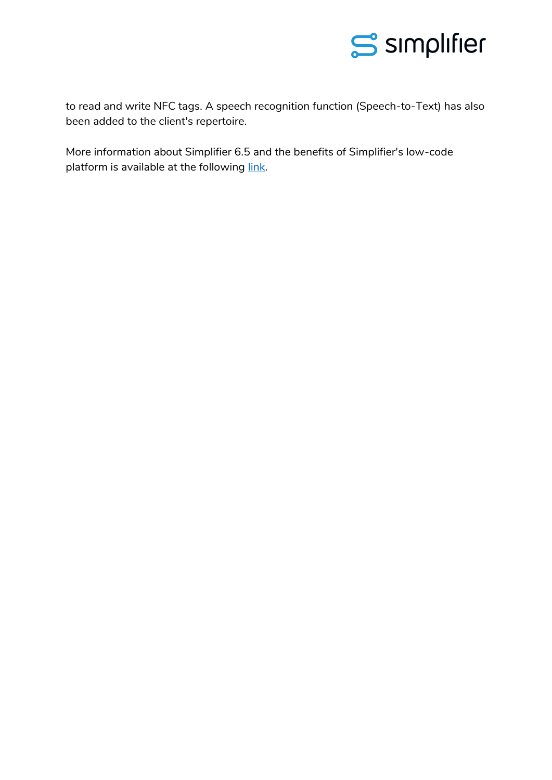

to read and write NFC tags. A speech recognition function (Speech-to-Text) has also been added to the client's repertoire.

More information about Simplifier 6.5 and the benefits of Simplifier's low-code platform is available at the following [link.](https://community.simplifier.io/simplifier-65/)